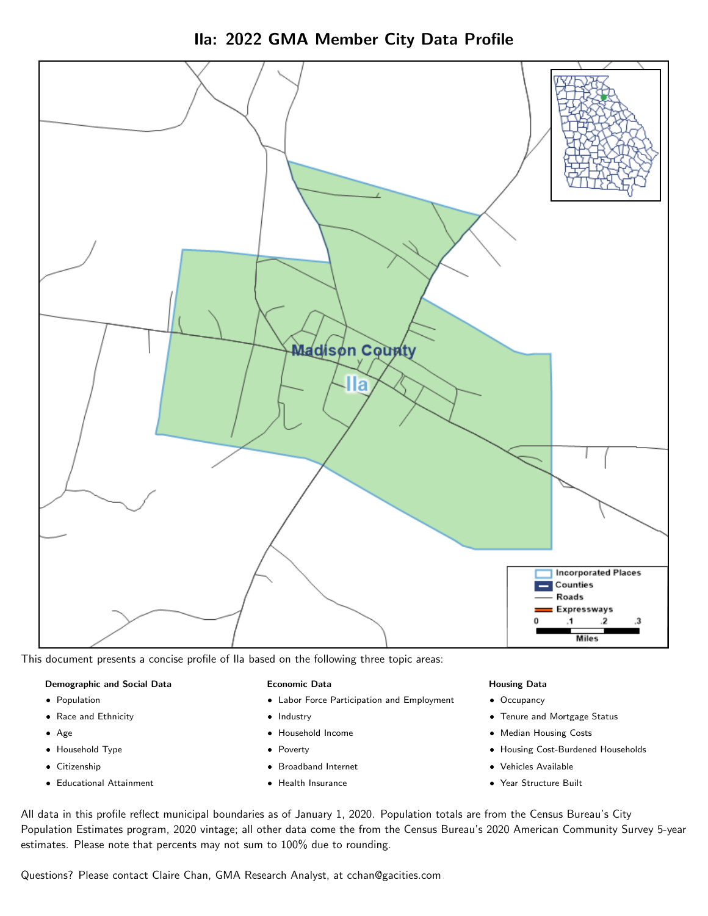Ila: 2022 GMA Member City Data Profile



This document presents a concise profile of Ila based on the following three topic areas:

#### Demographic and Social Data

- **•** Population
- Race and Ethnicity
- Age
- Household Type
- **Citizenship**
- Educational Attainment

#### Economic Data

- Labor Force Participation and Employment
- Industry
- Household Income
- Poverty
- Broadband Internet
- Health Insurance

#### Housing Data

- Occupancy
- Tenure and Mortgage Status
- Median Housing Costs
- Housing Cost-Burdened Households
- Vehicles Available
- Year Structure Built

All data in this profile reflect municipal boundaries as of January 1, 2020. Population totals are from the Census Bureau's City Population Estimates program, 2020 vintage; all other data come the from the Census Bureau's 2020 American Community Survey 5-year estimates. Please note that percents may not sum to 100% due to rounding.

Questions? Please contact Claire Chan, GMA Research Analyst, at [cchan@gacities.com.](mailto:cchan@gacities.com)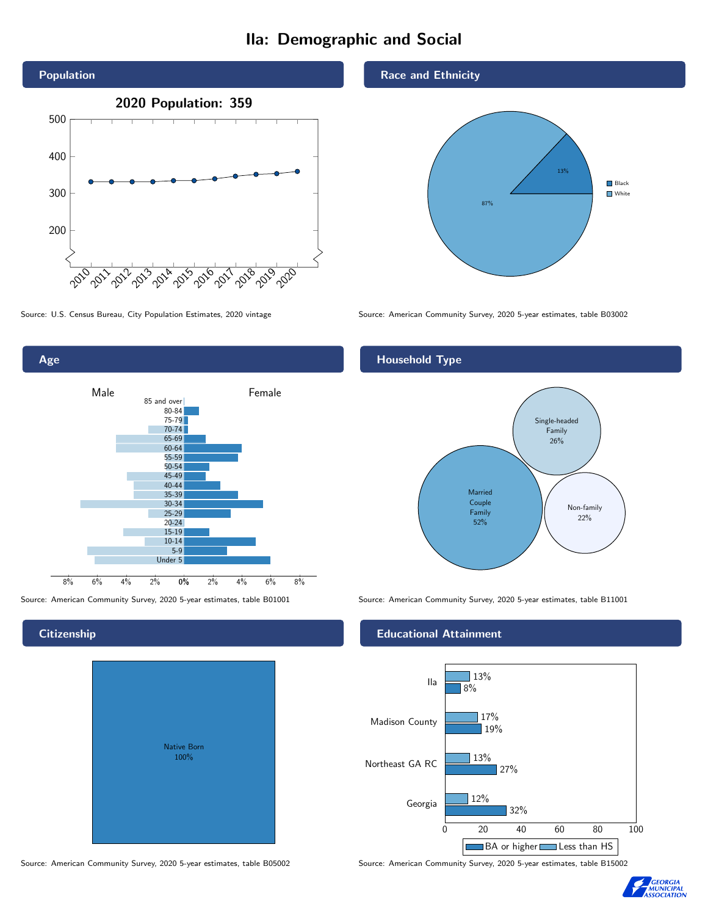# Ila: Demographic and Social



Age 0% 2% 4% 6% 8% Male **Female** 8% 6% 4% 2% 85 and over 80-84 75-79 70-74 65-69 60-64 55-59 50-54 45-49 40-44 35-39 30-34 25-29 20-24 15-19  $10-14$ 5-9 Under 5

## **Citizenship**

| Native Born<br>100% |  |
|---------------------|--|

Race and Ethnicity



Source: U.S. Census Bureau, City Population Estimates, 2020 vintage Source: American Community Survey, 2020 5-year estimates, table B03002

# Household Type



Source: American Community Survey, 2020 5-year estimates, table B01001 Source: American Community Survey, 2020 5-year estimates, table B11001

### Educational Attainment



Source: American Community Survey, 2020 5-year estimates, table B05002 Source: American Community Survey, 2020 5-year estimates, table B15002

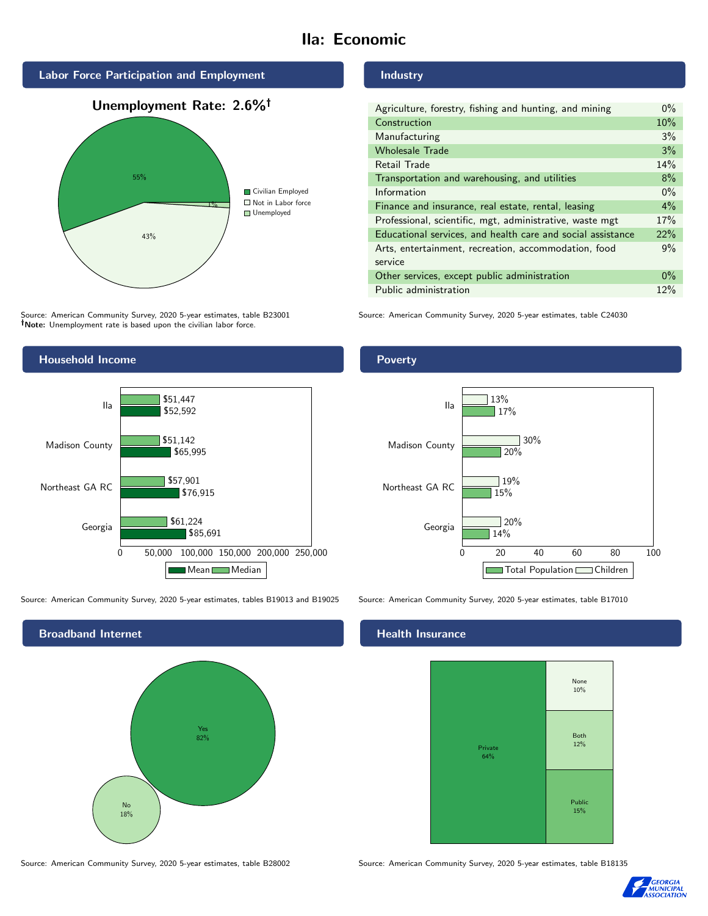# Ila: Economic







Source: American Community Survey, 2020 5-year estimates, table B23001 Note: Unemployment rate is based upon the civilian labor force.



Source: American Community Survey, 2020 5-year estimates, tables B19013 and B19025 Source: American Community Survey, 2020 5-year estimates, table B17010



Source: American Community Survey, 2020 5-year estimates, table B28002 Source: American Community Survey, 2020 5-year estimates, table B18135

#### Industry

| Agriculture, forestry, fishing and hunting, and mining      | $0\%$ |
|-------------------------------------------------------------|-------|
| Construction                                                | 10%   |
| Manufacturing                                               | 3%    |
| <b>Wholesale Trade</b>                                      | 3%    |
| Retail Trade                                                | 14%   |
| Transportation and warehousing, and utilities               |       |
| Information                                                 |       |
| Finance and insurance, real estate, rental, leasing         |       |
| Professional, scientific, mgt, administrative, waste mgt    |       |
| Educational services, and health care and social assistance |       |
| Arts, entertainment, recreation, accommodation, food        |       |
| service                                                     |       |
| Other services, except public administration                |       |
| Public administration                                       |       |

Source: American Community Survey, 2020 5-year estimates, table C24030

## Poverty



# **Health Insurance**